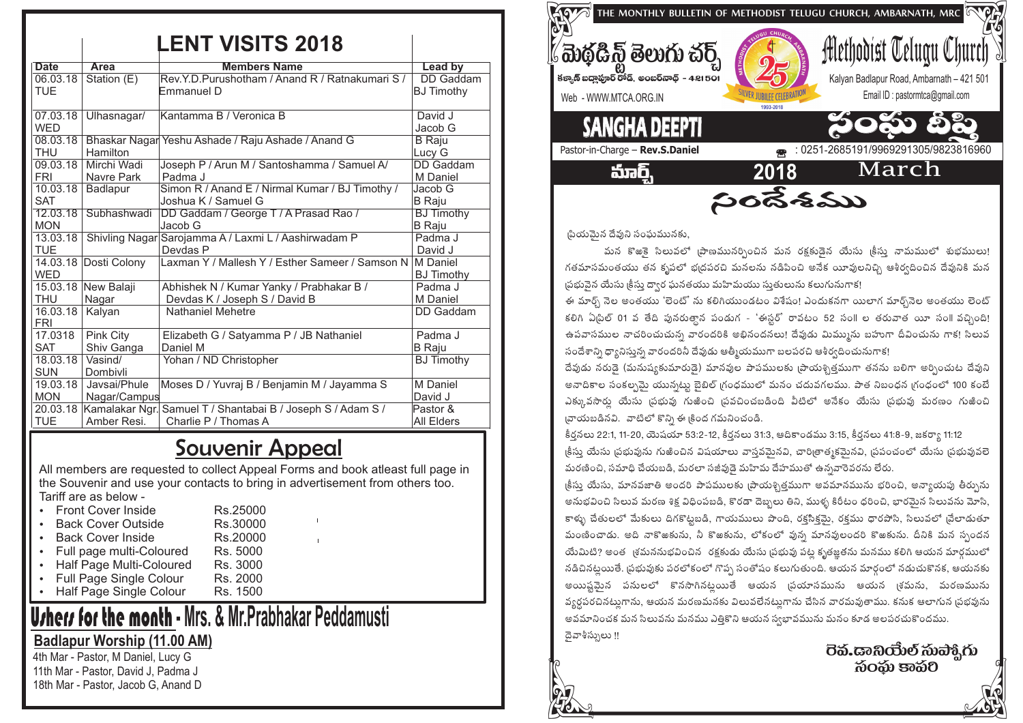|             |                        | <b>LENT VISITS 2018</b>                                              |                   |
|-------------|------------------------|----------------------------------------------------------------------|-------------------|
|             |                        |                                                                      |                   |
| <b>Date</b> | Area                   | <b>Members Name</b>                                                  | <b>Lead by</b>    |
| 06.03.18    | Station (E)            | Rev.Y.D.Purushotham / Anand R / Ratnakumari S /                      | <b>DD</b> Gaddam  |
| <b>TUE</b>  |                        | Emmanuel D                                                           | <b>BJ</b> Timothy |
| 07.03.18    | Ulhasnagar/            | Kantamma B / Veronica B                                              | David J           |
| <b>WFD</b>  |                        |                                                                      | Jacob G           |
| 08.03.18    |                        | Bhaskar Nagar Yeshu Ashade / Raju Ashade / Anand G                   | <b>B</b> Raju     |
| <b>THU</b>  | Hamilton               |                                                                      | Lucy G            |
|             | 09.03.18   Mirchi Wadi | Joseph P / Arun M / Santoshamma / Samuel A/                          | DD Gaddam         |
| <b>FRI</b>  | Navre Park             | Padma J                                                              | M Daniel          |
| 10.03.18    | <b>Badlapur</b>        | Simon R / Anand E / Nirmal Kumar / BJ Timothy /                      | Jacob G           |
| <b>SAT</b>  |                        | Joshua K / Samuel G                                                  | <b>B</b> Raju     |
| 12.03.18    | Subhashwadi            | DD Gaddam / George T / A Prasad Rao /                                | <b>BJ Timothy</b> |
| <b>MON</b>  |                        | Jacob G                                                              | <b>B</b> Raju     |
| 13.03.18    |                        | Shivling Nagar Sarojamma A / Laxmi L / Aashirwadam P                 | Padma J           |
| <b>TUE</b>  |                        | Devdas P                                                             | David J           |
| 14.03.18    | Dosti Colony           | Laxman Y / Mallesh Y / Esther Sameer / Samson N                      | M Daniel          |
| <b>WED</b>  |                        |                                                                      | <b>BJ</b> Timothy |
| 15.03.18    | New Balaji             | Abhishek N / Kumar Yanky / Prabhakar B /                             | Padma J           |
| <b>THU</b>  | Nagar                  | Devdas K / Joseph S / David B                                        | M Daniel          |
| 16.03.18    | Kalyan                 | Nathaniel Mehetre                                                    | DD Gaddam         |
| <b>FRI</b>  |                        |                                                                      |                   |
| 17.0318     | Pink City              | Elizabeth G / Satyamma P / JB Nathaniel                              | Padma J           |
| <b>SAT</b>  | Shiv Ganga             | Daniel M                                                             | <b>B</b> Raju     |
| 18.03.18    | Vasind/                | Yohan / ND Christopher                                               | <b>BJ</b> Timothy |
| <b>SUN</b>  | Dombivli               |                                                                      |                   |
| 19.03.18    | Javsai/Phule           | Moses D / Yuvraj B / Benjamin M / Jayamma S                          | M Daniel          |
| <b>MON</b>  | Nagar/Campus           |                                                                      | David J           |
| 20.03.18    | Kamalakar Ngr.         | Samuel T / Shantabai B / Joseph S / Adam S /<br>Charlie P / Thomas A | Pastor &          |
| <b>TUE</b>  | Amber Resi.            |                                                                      | All Elders        |

## **Souvenir Appeal**

All members are requested to collect Appeal Forms and book atleast full page in the Souvenir and use your contacts to bring in advertisement from others too. Tariff are as below -

- **Front Cover Inside Back Cover Outside** 
	- **Back Cover Inside**
- Rs.30000 Rs.20000 Rs. 5000

Rs.25000

- Full page multi-Coloured Half Page Multi-Coloured Rs. 3000
- Full Page Single Colour Rs. 2000
- Half Page Single Colour Rs. 1500

# **Urhers for the month - Mrs. & Mr. Prabhakar Peddamusti**

#### **Badlapur Worship (11.00 AM)**

4th Mar - Pastor, M Daniel, Lucy G 11th Mar - Pastor, David J, Padma J 18th Mar - Pastor, Jacob G. Anand D



్దియమైన దేవుని సంఘమునకు.

మన కొఱకై సిలువలో (పాణమునర్పించిన మన రక్షకుడైన యేసు (కీసు నామములో శుభములు! గతమాసమంతయు తన కృపలో భ(దపరచి మనలను నడిపించి అనేక యీవులనిచ్చి ఆశీర్వదించిన దేవునికి మన ప్రభువైన యేసు క్రీసు ద్వార ఘనతయు మహిమయు సుతులును కలుగునుగాక!

సంశేశము

ఈ మార్చ్ నెల అంతయు 'లెంట్' ను కలిగియుండటం విశేషం! ఎందుకనగా యిలాగ మార్చ్వెల అంతయు లెంట్ కలిగి ఏమిల్ 01 వ తేది పునరుత్వాన పండుగ - 'ఈస్టర్' రావటం 52 సంIl ల తరువాత యీ సంIl వచ్చింది! ఉపవాసముల నాచరించుచున్న వారందరికి అభినందనలు! దేవుడు మిమ్మును బహుగా దీవించును గాక! సిలువ సందేశాన్ని ధ్యానిస్తున్న వారందరినీ దేవుడు ఆత్మీయముగా బలపరచి ఆశీర్వదించునుగాక!

దేవుడు నరుడై (మనుష్యకుమారుడై) మానవుల పాపములకు (పాయశ్చిత్తముగా తనను బలిగా అర్పించుట దేవుని అనాదికాల సంకల్నమై యున్నట్లు బెబిల్ గ్రంధములో మనం చదువగలము. పాత నిబంధన గ్రంధంలో 100 కంటే ఎక్కువసారు యేసు (పభువు గుఱించి (పవచించబడింది వీటిలో అనేకం యేసు (పభువు మరణం గుఱించి (వాయబడినవి. వాటిలో కొన్ని ఈ క్రింద గమనించండి.

కీర్తనలు 22:1, 11-20, యెషయా 53:2-12, కీర్తనలు 31:3, ఆదికాండము 3:15, కీర్తనలు 41:8-9, జకర్యా 11:12 ్రకీస్తు యేసు (పభువును గుఱించిన విషయాలు వాస్తవమైనవి, చారి(తాత్మకమైనవి, (పపంచంలో యేసు (పభువువలె మరణించి, సమాధి చేయబడి, మరలా సజీవుడై మహిమ దేహముతో ఉన్నవారెవరను లేరు.

।కీసు యేసు, మానవజాతి అందరి పాపములకు (పాయశ్చిత్తముగా అవమానమును భరించి, అన్యాయపు తీర్పును అనుభవించి సిలువ మరణ శిక్ష విధింపబడి, కొరడా దెబ్బలు తిని, ముళ్ళ కిరీటం ధరించి, భారమైన సిలువను మోసి, కాళ్ళు చేతులలో మేకులు దిగకొట్టబడి, గాయములు పొంది, రక్తసిక్తమె, రక్తము ధారపోసి, సిలువలో [వేలాడుతూ మంణించాడు. అది నాకొఱకును, నీ కొఱకును, లోకంలో వున్న మానవులందరి కొఱకును. దీనికి మన స్పందన యేమిటి? అంత ్శమననుభవించిన రక్షకుడు యేసు ప్రభువు పట్ల కృతజ్ఞతను మనము కలిగి ఆయన మార్గములో నడిచినట్లయితే. ్పభువుకు పరలోకంలో గొప్ప సంతోషం కలుగుతుంది. ఆయన మార్గంలో నడుచుకొనక, ఆయనకు అయిష్టమైన పనులలో కొనసాగినట్లయితే ఆయన ప్రయాసమును ఆయన శ్రమను, మరణమును వ్యర్థపరచినటుగాను, ఆయన మరణమనకు విలువలేనటుగాను చేసిన వారమవుతాము. కనుక ఆలాగున ¡పభవును అవమానించక మన సిలువను మనము ఎతికొని ఆయన స్వభావమును మనం కూడ అలపరచుకొందము.

దైవాశీస్సులు !!

ටිනි.ශාඩ්රෝව බාබ්ඞ්රා  $\omega$ ന്ന കാര്മ